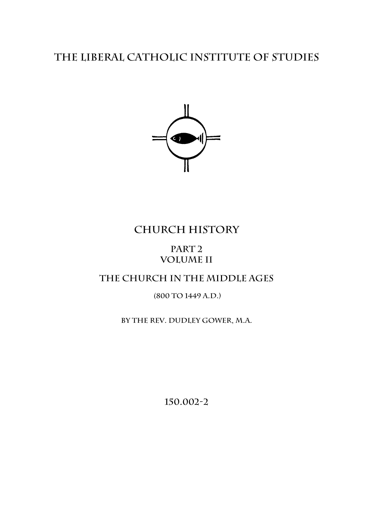# **The Liberal catholic Institute of Studies**



# **Church History**

## **Part 2 Volume II**

## **The Church in the Middle Ages**

## **(800 to 1449 A.D.)**

### **by the rev. Dudley Gower, m.a.**

**150.002-2**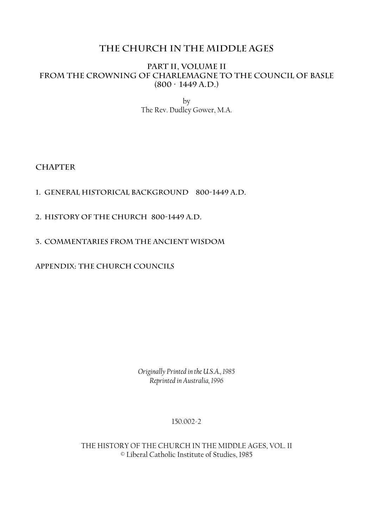## **THE CHURCH IN THE MIDDLE AGES**

#### **Part II, Volume II From the Crowning of Charlemagne to the Council of Basle (800 — 1449 A.D.)**

by The Rev. Dudley Gower, M.A.

**Chapter** 

#### **1. General Historical Background 800-1449 A.D.**

- **2. History of the Church 800-1449 A.D.**
- **3. Commentaries from the Ancient Wisdom**

**Appendix: The Church Councils**

*Originally Printed in the U.S.A., 1985 Reprinted in Australia, 1996* 

#### 150.002-2

THE HISTORY OF THE CHURCH IN THE MIDDLE AGES, VOL. II © Liberal Catholic Institute of Studies, 1985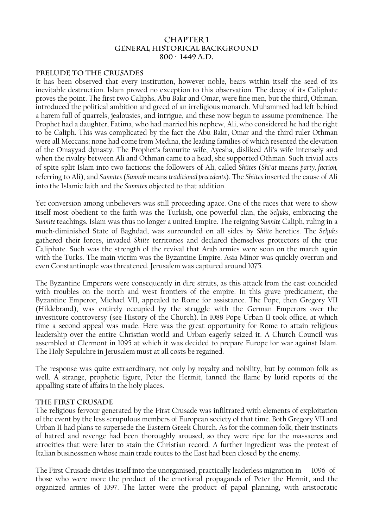#### **Chapter 1 General Historical Background 800 — 1449 A.D.**

#### **Prelude to the Crusades**

It has been observed that every institution, however noble, bears within itself the seed of its inevitable destruction. Islam proved no exception to this observation. The decay of its Caliphate proves the point. The first two Caliphs, Abu Bakr and Omar, were fine men, but the third, Othman, introduced the political ambition and greed of an irreligious monarch. Muhammed had left behind a harem full of quarrels, jealousies, and intrigue, and these now began to assume prominence. The Prophet had a daughter, Fatima, who had married his nephew, Ali, who considered he had the right to be Caliph. This was complicated by the fact the Abu Bakr, Omar and the third ruler Othman were all Meccans; none had come from Medina, the leading families of which resented the elevation of the Omayyad dynasty. The Prophet's favourite wife, Ayesha, disliked Ali's wife intensely and when the rivalry between Ali and Othman came to a head, she supported Othman. Such trivial acts of spite split Islam into two factions: the followers of Ali, called *Shiites* (*Shi'at* means *party, faction,*  referring to Ali), and *Sunnites* (*Sunnah* means *traditional precedents*). The *Shiites* inserted the cause of Ali into the Islamic faith and the *Sunnites* objected to that addition.

Yet conversion among unbelievers was still proceeding apace. One of the races that were to show itself most obedient to the faith was the Turkish, one powerful clan, the *Seljuks*, embracing the *Sunnite* teachings. Islam was thus no longer a united Empire. The reigning *Sunnite* Caliph, ruling in a much-diminished State of Baghdad, was surrounded on all sides by *Shiite* heretics. The *Seljuks* gathered their forces, invaded *Shiite* territories and declared themselves protectors of the true Caliphate. Such was the strength of the revival that Arab armies were soon on the march again with the Turks. The main victim was the Byzantine Empire. Asia Minor was quickly overrun and even Constantinople was threatened. Jerusalem was captured around 1075.

The Byzantine Emperors were consequently in dire straits, as this attack from the east coincided with troubles on the north and west frontiers of the empire. In this grave predicament, the Byzantine Emperor, Michael VII, appealed to Rome for assistance. The Pope, then Gregory VII (Hildebrand), was entirely occupied by the struggle with the German Emperors over the investiture controversy (see History of the Church). In 1088 Pope Urban II took office, at which time a second appeal was made. Here was the great opportunity for Rome to attain religious leadership over the entire Christian world and Urban eagerly seized it. A Church Council was assembled at Clermont in 1095 at which it was decided to prepare Europe for war against Islam. The Holy Sepulchre in Jerusalem must at all costs be regained.

The response was quite extraordinary, not only by royalty and nobility, but by common folk as well. A strange, prophetic figure, Peter the Hermit, fanned the flame by lurid reports of the appalling state of affairs in the holy places.

#### **The First Crusade**

The religious fervour generated by the First Crusade was infiltrated with elements of exploitation of the event by the less scrupulous members of European society of that time. Both Gregory VII and Urban II had plans to supersede the Eastern Greek Church. As for the common folk, their instincts of hatred and revenge had been thoroughly aroused, so they were ripe for the massacres and atrocities that were later to stain the Christian record. A further ingredient was the protest of Italian businessmen whose main trade routes to the East had been closed by the enemy.

The First Crusade divides itself into the unorganised, practically leaderless migration in 1096 of those who were more the product of the emotional propaganda of Peter the Hermit, and the organized armies of 1097. The latter were the product of papal planning, with aristocratic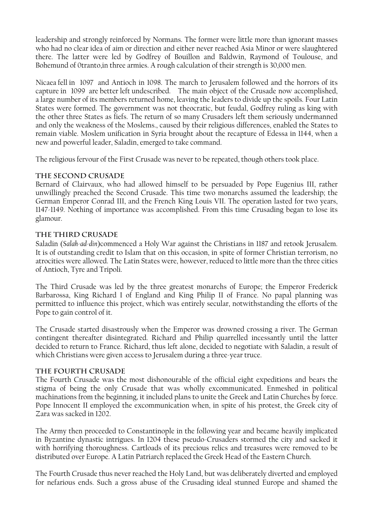leadership and strongly reinforced by Normans. The former were little more than ignorant masses who had no clear idea of aim or direction and either never reached Asia Minor or were slaughtered there. The latter were led by Godfrey of Bouillon and Baldwin, Raymond of Toulouse, and Bohemund of 0tranto,in three armies. A rough calculation of their strength is 30,000 men.

Nicaea fell in 1097 and Antioch in 1098. The march to Jerusalem followed and the horrors of its capture in 1099 are better left undescribed. The main object of the Crusade now accomplished, a large number of its members returned home, leaving the leaders to divide up the spoils. Four Latin States were formed. The government was not theocratic, but feudal, Godfrey ruling as king with the other three States as fiefs. The return of so many Crusaders left them seriously undermanned and only the weakness of the Moslems., caused by their religious differences, enabled the States to remain viable. Moslem unification in Syria brought about the recapture of Edessa in 1144, when a new and powerful leader, Saladin, emerged to take command.

The religious fervour of the First Crusade was never to be repeated, though others took place.

#### **The Second Crusade**

Bernard of Clairvaux, who had allowed himself to be persuaded by Pope Eugenius III, rather unwillingly preached the Second Crusade. This time two monarchs assumed the leadership; the German Emperor Conrad III, and the French King Louis VII. The operation lasted for two years, 1147-1149. Nothing of importance was accomplished. From this time Crusading began to lose its glamour.

#### **The Third Crusade**

Saladin (*Salah-ad-din*)commenced a Holy War against the Christians in 1187 and retook Jerusalem. It is of outstanding credit to Islam that on this occasion, in spite of former Christian terrorism, no atrocities were allowed. The Latin States were, however, reduced to little more than the three cities of Antioch, Tyre and Tripoli.

The Third Crusade was led by the three greatest monarchs of Europe; the Emperor Frederick Barbarossa, King Richard I of England and King Philip II of France. No papal planning was permitted to influence this project, which was entirely secular, notwithstanding the efforts of the Pope to gain control of it.

The Crusade started disastrously when the Emperor was drowned crossing a river. The German contingent thereafter disintegrated. Richard and Philip quarrelled incessantly until the latter decided to return to France. Richard, thus left alone, decided to negotiate with Saladin, a result of which Christians were given access to Jerusalem during a three-year truce.

#### **The Fourth Crusade**

The Fourth Crusade was the most dishonourable of the official eight expeditions and bears the stigma of being the only Crusade that was wholly excommunicated. Enmeshed in political machinations from the beginning, it included plans to unite the Greek and Latin Churches by force. Pope Innocent II employed the excommunication when, in spite of his protest, the Greek city of Zara was sacked in 1202.

The Army then proceeded to Constantinople in the following year and became heavily implicated in Byzantine dynastic intrigues. In 1204 these pseudo-Crusaders stormed the city and sacked it with horrifying thoroughness. Cartloads of its precious relics and treasures were removed to be distributed over Europe. A Latin Patriarch replaced the Greek Head of the Eastern Church.

The Fourth Crusade thus never reached the Holy Land, but was deliberately diverted and employed for nefarious ends. Such a gross abuse of the Crusading ideal stunned Europe and shamed the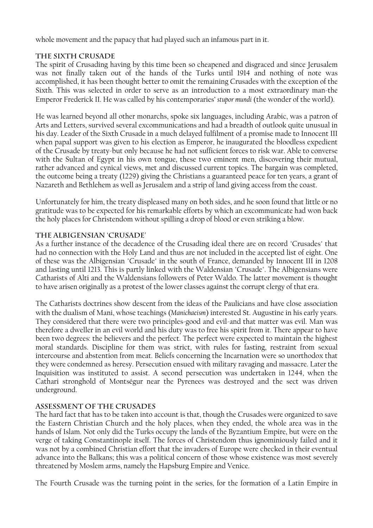whole movement and the papacy that had played such an infamous part in it.

#### **The Sixth Crusade**

The spirit of Crusading having by this time been so cheapened and disgraced and since Jerusalem was not finally taken out of the hands of the Turks until 1914 and nothing of note was accomplished, it has been thought better to omit the remaining Crusades with the exception of the Sixth. This was selected in order to serve as an introduction to a most extraordinary man-the Emperor Frederick II. He was called by his contemporaries' *stupor mundi* (the wonder of the world).

He was learned beyond all other monarchs, spoke six languages, including Arabic, was a patron of Arts and Letters, survived several excommunications and had a breadth of outlook quite unusual in his day. Leader of the Sixth Crusade in a much delayed fulfilment of a promise made to Innocent III when papal support was given to his election as Emperor, he inaugurated the bloodless expedient of the Crusade by treaty-but only because he had not sufficient forces to risk war. Able to converse with the Sultan of Egypt in his own tongue, these two eminent men, discovering their mutual, rather advanced and cynical views, met and discussed current topics. The bargain was completed, the outcome being a treaty (1229) giving the Christians a guaranteed peace for ten years, a grant of Nazareth and Bethlehem as well as Jerusalem and a strip of land giving access from the coast.

Unfortunately for him, the treaty displeased many on both sides, and he soon found that little or no gratitude was to be expected for his remarkable efforts by which an excommunicate had won back the holy places for Christendom without spilling a drop of blood or even striking a blow.

#### **The Albigensian 'Crusade'**

As a further instance of the decadence of the Crusading ideal there are on record "Crusades" that had no connection with the Holy Land and thus are not included in the accepted list of eight. One of these was the Albigensian "Crusade" in the south of France, demanded by Innocent III in 1208 and lasting until 1213. This is partly linked with the Waldensian "Crusade". The Albigensians were Catharists of Alti and the Waldensians followers of Peter Waldo. The latter movement is thought to have arisen originally as a protest of the lower classes against the corrupt clergy of that era.

The Catharists doctrines show descent from the ideas of the Paulicians and have close association with the dualism of Mani, whose teachings (*Manichaeism*) interested St. Augustine in his early years. They considered that there were two principles-good and evil-and that matter was evil. Man was therefore a dweller in an evil world and his duty was to free his spirit from it. There appear to have been two degrees: the believers and the perfect. The perfect were expected to maintain the highest moral standards. Discipline for them was strict, with rules for fasting, restraint from sexual intercourse and abstention from meat. Beliefs concerning the Incarnation were so unorthodox that they were condemned as heresy. Persecution ensued with military ravaging and massacre. Later the Inquisition was instituted to assist. A second persecution was undertaken in 1244, when the Cathari stronghold of Montségur near the Pyrenees was destroyed and the sect was driven underground.

#### **Assessment of the Crusades**

The hard fact that has to be taken into account is that, though the Crusades were organized to save the Eastern Christian Church and the holy places, when they ended, the whole area was in the hands of Islam. Not only did the Turks occupy the lands of the Byzantium Empire, but were on the verge of taking Constantinople itself. The forces of Christendom thus ignominiously failed and it was not by a combined Christian effort that the invaders of Europe were checked in their eventual advance into the Balkans; this was a political concern of those whose existence was most severely threatened by Moslem arms, namely the Hapsburg Empire and Venice.

The Fourth Crusade was the turning point in the series, for the formation of a Latin Empire in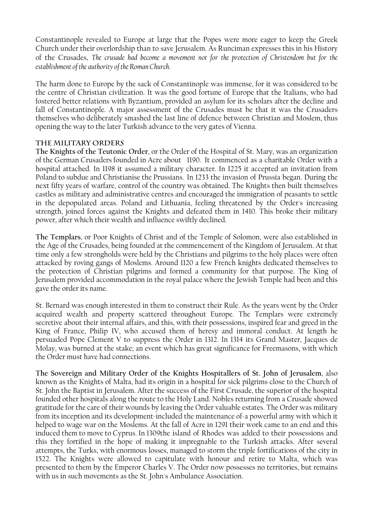Constantinople revealed to Europe at large that the Popes were more eager to keep the Greek Church under their overlordship than to save Jerusalem. As Runciman expresses this in his History of the Crusades, *The crusade had become a movement not for the protection of Christendom but for the establishment of the authority of the Roman Church*.

The harm done to Europe by the sack of Constantinople was immense, for it was considered to be the centre of Christian civilization. It was the good fortune of Europe that the Italians, who had fostered better relations with Byzantium, provided an asylum for its scholars after the decline and fall of Constantinople. A major assessment of the Crusades must be that it was the Crusaders themselves who deliberately smashed the last line of defence between Christian and Moslem, thus opening the way to the later Turkish advance to the very gates of Vienna.

#### **The Military Orders**

**The Knights of the Teutonic Order**, or the Order of the Hospital of St. Mary, was an organization of the German Crusaders founded in Acre about 1190. It commenced as a charitable Order with a hospital attached. In 1198 it assumed a military character. In 1225 it accepted an invitation from Poland to subdue and Christianise the Prussians. In 1233 the invasion of Prussia began. During the next fifty years of warfare, control of the country was obtained. The Knights then built themselves castles as military and administrative centres and encouraged the immigration of peasants to settle in the depopulated areas. Poland and Lithuania, feeling threatened by the Order's increasing strength, joined forces against the Knights and defeated them in 1410. This broke their military power, after which their wealth and influence swiftly declined.

**The Templars**, or Poor Knights of Christ and of the Temple of Solomon, were also established in the Age of the Crusades, being founded at the commencement of the Kingdom of Jerusalem. At that time only a few strongholds were held by the Christians and pilgrims to the holy places were often attacked by roving gangs of Moslems. Around 1120 a few French knights dedicated themselves to the protection of Christian pilgrims and formed a community for that purpose. The King of Jerusalem provided accommodation in the royal palace where the Jewish Temple had been and this gave the order its name.

St. Bernard was enough interested in them to construct their Rule. As the years went by the Order acquired wealth and property scattered throughout Europe. The Templars were extremely secretive about their internal affairs, and this, with their possessions, inspired fear and greed in the King of France, Philip IV, who accused them of heresy and immoral conduct. At length he persuaded Pope Clement V to suppress the Order in 1312. In 1314 its Grand Master, Jacques de Molay, was burned at the stake; an event which has great significance for Freemasons, with which the Order must have had connections.

**The Sovereign and Military Order of the Knights Hospitallers of St. John of Jerusalem**, also known as the Knights of Malta, had its origin in a hospital for sick pilgrims close to the Church of St. John the Baptist in Jerusalem. After the success of the First Crusade, the superior of the hospital founded other hospitals along the route to the Holy Land. Nobles returning from a Crusade showed gratitude for the care of their wounds by leaving the Order valuable estates. The Order was military from its inception and its development-included the maintenance of-a powerful army with which it helped to wage war on the Moslems. At the fall of Acre in 1291 their work came to an end and this induced them to move to Cyprus. In 1309the island of Rhodes was added to their possessions and this they fortified in the hope of making it impregnable to the Turkish attacks. After several attempts, the Turks, with enormous losses, managed to storm the triple fortifications of the city in 1522. The Knights were allowed to capitulate with honour and retire to Malta, which was presented to them by the Emperor Charles V. The Order now possesses no territories, but remains with us in such movements as the St. John's Ambulance Association.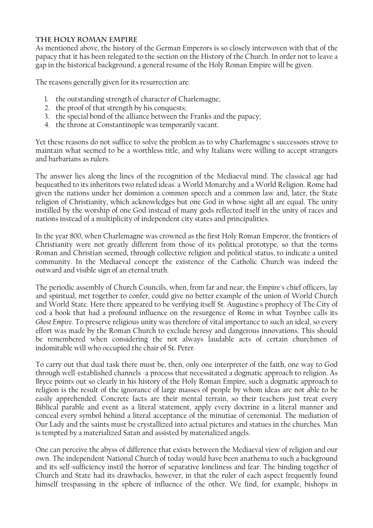#### **The Holy Roman Empire**

As mentioned above, the history of the German Emperors is so closely interwoven with that of the papacy that it has been relegated to the section on the History of the Church. In order not to leave a gap in the historical background, a general resume of the Holy Roman Empire will be given.

The reasons generally given for its resurrection are:

- 1. the outstanding strength of character of Charlemagne;
- 2. the proof of that strength by his conquests;
- 3. the special bond of the alliance between the Franks and the papacy;
- 4. the throne at Constantinople was temporarily vacant.

Yet these reasons do not suffice to solve the problem as to why Charlemagne's successors strove to maintain what seemed to be a worthless title, and why Italians were willing to accept strangers and barbarians as rulers.

The answer lies along the lines of the recognition of the Mediaeval mind. The classical age had bequeathed to its inheritors two related ideas: a World Monarchy and a World Religion. Rome had given the nations under her dominion a common speech and a common law and, later, the State religion of Christianity, which acknowledges but one God in whose sight all are equal. The unity instilled by the worship of one God instead of many gods reflected itself in the unity of races and nations instead of a multiplicity of independent city states and principalities.

In the year 800, when Charlemagne was crowned as the first Holy Roman Emperor, the frontiers of Christianity were not greatly different from those of its political prototype, so that the terms Roman and Christian seemed, through collective religion and political status, to indicate a united community. In the Mediaeval concept the existence of the Catholic Church was indeed the outward and visible sign of an eternal truth.

The periodic assembly of Church Councils, when, from far and near, the Empire's chief officers, lay and spiritual, met together to confer, could give no better example of the union of World Church and World State. Here there appeared to be verifying itself St. Augustine's prophecy of The City of cod-a book that had a profound influence on the resurgence of Rome in what Toynbee calls its *Ghost Empire*. To preserve religious unity was therefore of vital importance to such an ideal, so every effort was made by the Roman Church to exclude heresy and dangerous innovations. This should be remembered when considering the not always laudable acts of certain churchmen of indomitable will who occupied the chair of St. Peter.

To carry out that dual task there must be, then, only one interpreter of the faith, one way to God through well-established channels -a process that necessitated a dogmatic approach to religion. As Bryce points out so clearly in his history of the Holy Roman Empire, such a dogmatic approach to religion is the result of the ignorance of large masses of people by whom ideas are not able to be easily apprehended. Concrete facts are their mental terrain, so their teachers just treat every Biblical parable and event as a literal statement, apply every doctrine in a literal manner and conceal every symbol behind a literal acceptance of the minutiae of ceremonial. The mediation of Our Lady and the saints must be crystallized into actual pictures and statues in the churches. Man is tempted by a materialized Satan and assisted by materialized angels.

One can perceive the abyss of difference that exists between the Mediaeval view of religion and our own. The independent National Church of today would have been anathema to such a background and its self-sufficiency instil the horror of separative loneliness and fear. The binding together of Church and State had its drawbacks, however, in that the ruler of each aspect frequently found himself trespassing in the sphere of influence of the other. We find, for example, bishops in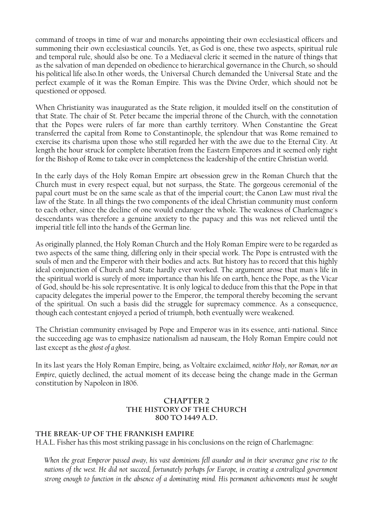command of troops in time of war and monarchs appointing their own ecclesiastical officers and summoning their own ecclesiastical councils. Yet, as God is one, these two aspects, spiritual rule and temporal rule, should also be one. To a Mediaeval cleric it seemed in the nature of things that as the salvation of man depended on obedience to hierarchical governance in the Church, so should his political life also. In other words, the Universal Church demanded the Universal State and the perfect example of it was the Roman Empire. This was the Divine Order, which should not be questioned or opposed.

When Christianity was inaugurated as the State religion, it moulded itself on the constitution of that State. The chair of St. Peter became the imperial throne of the Church, with the connotation that the Popes were rulers of far more than earthly territory. When Constantine the Great transferred the capital from Rome to Constantinople, the splendour that was Rome remained to exercise its charisma upon those who still regarded her with the awe due to the Eternal City. At length the hour struck for complete liberation from the Eastern Emperors and it seemed only right for the Bishop of Rome to take over in completeness the leadership of the entire Christian world.

In the early days of the Holy Roman Empire art obsession grew in the Roman Church that the Church must in every respect equal, but not surpass, the State. The gorgeous ceremonial of the papal court must be on the same scale as that of the imperial court; the Canon Law must rival the law of the State. In all things the two components of the ideal Christian community must conform to each other, since the decline of one would endanger the whole. The weakness of Charlemagne's descendants was therefore a genuine anxiety to the papacy and this was not relieved until the imperial title fell into the hands of the German line.

As originally planned, the Holy Roman Church and the Holy Roman Empire were to be regarded as two aspects of the same thing, differing only in their special work. The Pope is entrusted with the souls of men and the Emperor with their bodies and acts. But history has to record that this highly ideal conjunction of Church and State hardly ever worked. The argument arose that man's life in the spiritual world is surely of more importance than his life on earth, hence the Pope, as the Vicar of God, should be-his sole representative. It is only logical to deduce from this that the Pope in that capacity delegates the imperial power to the Emperor, the temporal thereby becoming the servant of the spiritual. On such a basis did the struggle for supremacy commence. As a consequence, though each contestant enjoyed a period of triumph, both eventually were weakened.

The Christian community envisaged by Pope and Emperor was in its essence, anti-national. Since the succeeding age was to emphasize nationalism ad nauseam, the Holy Roman Empire could not last except as the *ghost of a ghost*.

In its last years the Holy Roman Empire, being, as Voltaire exclaimed, *neither Holy, nor Roman, nor an Empire*, quietly declined, the actual moment of its decease being the change made in the German constitution by Napoleon in 1806.

#### **CHAPTER 2 THE HISTORY OF THE CHURCH 800 to 1449 A.D.**

#### **The Break-Up of the Frankish Empire**

H.A.L. Fisher has this most striking passage in his conclusions on the reign of Charlemagne:

*When the great Emperor passed away, his vast dominions fell asunder and in their severance gave rise to the nations of the west. He did not succeed, fortunately perhaps for Europe, in creating a centralized government strong enough to function in the absence of a dominating mind. His permanent achievements must be sought*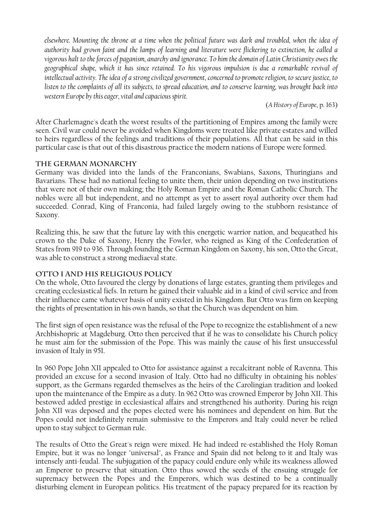*elsewhere. Mounting the throne at a time when the political future was dark and troubled, when the idea of authority had grown faint and the lamps of learning and literature were flickering to extinction, he called a vigorous halt to the forces of paganism, anarchy and ignorance. To him the domain of Latin Christianity owes the geographical shape, which it has since retained. To his vigorous impulsion is due a remarkable revival of intellectual activity. The idea of a strong civilized government, concerned to promote religion, to secure justice, to listen to the complaints of all its subjects, to spread education, and to conserve learning, was brought back into western Europe by this eager, vital and capacious spirit.* 

(*A History of Europe*, p. 163)

After Charlemagne's death the worst results of the partitioning of Empires among the family were seen. Civil war could never be avoided when Kingdoms were treated like private estates and willed to heirs regardless of the feelings and traditions of their populations. All that can be said in this particular case is that out of this disastrous practice the modern nations of Europe were formed.

#### **The German Monarchy**

Germany was divided into the lands of the Franconians, Swabians, Saxons, Thuringians and Bavarians. These had no national feeling to unite them, their union depending on two institutions that were not of their own making; the Holy Roman Empire and the Roman Catholic Church. The nobles were all but independent, and no attempt as yet to assert royal authority over them had succeeded. Conrad, King of Franconia, had failed largely owing to the stubborn resistance of Saxony.

Realizing this, he saw that the future lay with this energetic warrior nation, and bequeathed his crown to the Duke of Saxony, Henry the Fowler, who reigned as King of the Confederation of States from 919 to 936. Through founding the German Kingdom on Saxony, his son, Otto the Great, was able to construct a strong mediaeval state.

#### **Otto I and His Religious Policy**

On the whole, Otto favoured the clergy by donations of large estates, granting them privileges and creating ecclesiastical fiefs. In return he gained their valuable aid in a kind of civil service and from their influence came whatever basis of unity existed in his Kingdom. But Otto was firm on keeping the rights of presentation in his own hands, so that the Church was dependent on him.

The first sign of open resistance was the refusal of the Pope to recognize the establishment of a new Archbishopric at Magdeburg. Otto then perceived that if he was to consolidate his Church policy he must aim for the submission of the Pope. This was mainly the cause of his first unsuccessful invasion of Italy in 951.

In 960 Pope John XII appealed to Otto for assistance against a recalcitrant noble of Ravenna. This provided an excuse for a second invasion of Italy. Otto had no difficulty in obtaining his nobles' support, as the Germans regarded themselves as the heirs of the Carolingian tradition and looked upon the maintenance of the Empire as a duty. In 962 Otto was crowned Emperor by John XII. This bestowed added prestige in ecclesiastical affairs and strengthened his authority. During his reign John XII was deposed and the popes elected were his nominees and dependent on him. But the Popes could not indefinitely remain submissive to the Emperors and Italy could never be relied upon to stay subject to German rule.

The results of Otto the Great's reign were mixed. He had indeed re-established the Holy Roman Empire, but it was no longer "universal", as France and Spain did not belong to it and Italy was intensely anti-feudal. The subjugation of the papacy could endure only while its weakness allowed an Emperor to preserve that situation. Otto thus sowed the seeds of the ensuing struggle for supremacy between the Popes and the Emperors, which was destined to be a continually disturbing element in European politics. His treatment of the papacy prepared for its reaction by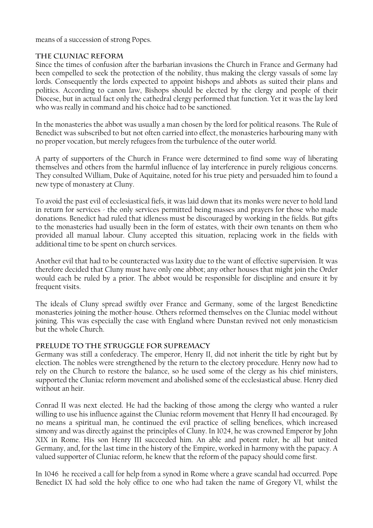means of a succession of strong Popes.

#### **The Cluniac Reform**

Since the times of confusion after the barbarian invasions the Church in France and Germany had been compelled to seek the protection of the nobility, thus making the clergy vassals of some lay lords. Consequently the lords expected to appoint bishops and abbots as suited their plans and politics. According to canon law, Bishops should be elected by the clergy and people of their Diocese, but in actual fact only the cathedral clergy performed that function. Yet it was the lay lord who was really in command and his choice had to be sanctioned.

In the monasteries the abbot was usually a man chosen by the lord for political reasons. The Rule of Benedict was subscribed to but not often carried into effect, the monasteries harbouring many with no proper vocation, but merely refugees from the turbulence of the outer world.

A party of supporters of the Church in France were determined to find some way of liberating themselves and others from the harmful influence of lay interference in purely religious concerns. They consulted William, Duke of Aquitaine, noted for his true piety and persuaded him to found a new type of monastery at Cluny.

To avoid the past evil of ecclesiastical fiefs, it was laid down that its monks were never to hold land in return for services - the only services permitted being masses and prayers for those who made donations. Benedict had ruled that idleness must be discouraged by working in the fields. But gifts to the monasteries had usually been in the form of estates, with their own tenants on them who provided all manual labour. Cluny accepted this situation, replacing work in the fields with additional time to be spent on church services.

Another evil that had to be counteracted was laxity due to the want of effective supervision. It was therefore decided that Cluny must have only one abbot; any other houses that might join the Order would each be ruled by a prior. The abbot would be responsible for discipline and ensure it by frequent visits.

The ideals of Cluny spread swiftly over France and Germany, some of the largest Benedictine monasteries joining the mother-house. Others reformed themselves on the Cluniac model without joining. This was especially the case with England where Dunstan revived not only monasticism but the whole Church.

#### **Prelude to the Struggle for Supremacy**

Germany was still a confederacy. The emperor, Henry II, did not inherit the title by right but by election. The nobles were strengthened by the return to the electory procedure. Henry now had to rely on the Church to restore the balance, so he used some of the clergy as his chief ministers, supported the Cluniac reform movement and abolished some of the ecclesiastical abuse. Henry died without an heir.

Conrad II was next elected. He had the backing of those among the clergy who wanted a ruler willing to use his influence against the Cluniac reform movement that Henry II had encouraged. By no means a spiritual man, he continued the evil practice of selling benefices, which increased simony and was directly against the principles of Cluny. In 1024, he was crowned Emperor by John XIX in Rome. His son Henry III succeeded him. An able and potent ruler, he all but united Germany, and, for the last time in the history of the Empire, worked in harmony with the papacy. A valued supporter of Cluniac reform, he knew that the reform of the papacy should come first.

In 1046 he received a call for help from a synod in Rome where a grave scandal had occurred. Pope Benedict IX had sold the holy office to one who had taken the name of Gregory VI, whilst the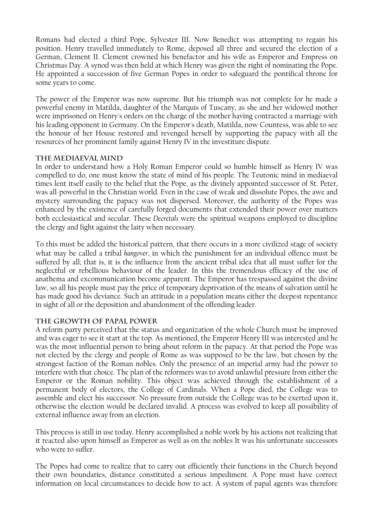Romans had elected a third Pope, Sylvester III. Now Benedict was attempting to regain his position. Henry travelled immediately to Rome, deposed all three and secured the election of a German, Clement II. Clement crowned his benefactor and his wife as Emperor and Empress on Christmas Day. A synod was then held at which Henry was given the right of nominating the Pope. He appointed a succession of five German Popes in order to safeguard the pontifical throne for some years to come.

The power of the Emperor was now supreme. But his triumph was not complete for he made a powerful enemy in Matilda, daughter of the Marquis of Tuscany, as she and her widowed mother were imprisoned on Henry's orders on the charge of the mother having contracted a marriage with his leading opponent in Germany. On the Emperor's death, Matilda, now Countess, was able to see the honour of her House restored and revenged herself by supporting the papacy with all the resources of her prominent family against Henry IV in the investiture dispute.

#### **The Mediaeval Mind**

In order to understand how a Holy Roman Emperor could so humble himself as Henry IV was compelled to do, one must know the state of mind of his people. The Teutonic mind in mediaeval times lent itself easily to the belief that the Pope, as the divinely appointed successor of St. Peter, was all-powerful in the Christian world. Even in the case of weak and dissolute Popes, the awe and mystery surrounding the papacy was not dispersed. Moreover, the authority of the Popes was enhanced by the existence of carefully forged documents that extended their power over matters both ecclesiastical and secular. These *Decretals* were the spiritual weapons employed to discipline the clergy and fight against the laity when necessary.

To this must be added the historical pattern, that there occurs in a more civilized stage of society what may be called a tribal *hangover*, in which the punishment for an individual offence must be suffered by all; that is, it is the influence from the ancient tribal idea that all must suffer for the neglectful or rebellious behaviour of the leader. In this the tremendous efficacy of the use of anathema and excommunication become apparent. The Emperor has trespassed against the divine law, so all his people must pay the price of temporary deprivation of the means of salvation until he has made good his deviance. Such an attitude in a population means either the deepest repentance in sight of all or the deposition and abandonment of the offending leader.

#### **The Growth of Papal Power**

A reform party perceived that the status and organization of the whole Church must be improved and was eager to see it start at the top. As mentioned, the Emperor Henry III was interested and he was the most influential person to bring about reform in the papacy. At that period the Pope was not elected by the clergy and people of Rome as was supposed to be the law, but chosen by the strongest faction of the Roman nobles. Only the presence of an imperial army had the power to interfere with that choice. The plan of the reformers was to avoid unlawful pressure from either the Emperor or the Roman nobility. This object was achieved through the establishment of a permanent body of electors, the College of Cardinals. When a Pope died, the College was to assemble and elect his successor. No pressure from outside the College was to be exerted upon it, otherwise the election would be declared invalid. A process was evolved to keep all possibility of external influence away from an election.

This process is still in use today. Henry accomplished a noble work by his actions not realizing that it reacted also upon himself as Emperor as well as on the nobles It was his unfortunate successors who were to suffer.

The Popes had come to realize that to carry out efficiently their functions in the Church beyond their own boundaries, distance constituted a serious impediment. A Pope must have correct information on local circumstances to decide how to act. A system of papal agents was therefore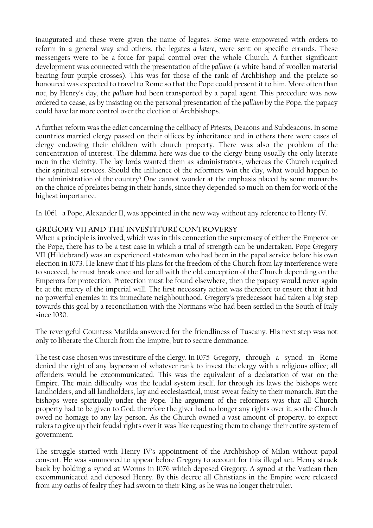inaugurated and these were given the name of legates. Some were empowered with orders to reform in a general way and others, the legates *a latere*, were sent on specific errands. These messengers were to be a force for papal control over the whole Church. A further significant development was connected with the presentation of the *pallium* (a white band of woollen material bearing four purple crosses). This was for those of the rank of Archbishop and the prelate so honoured was expected to travel to Rome so that the Pope could present it to him. More often than not, by Henry's day, the *pallium* had been transported by a papal agent. This procedure was now ordered to cease, as by insisting on the personal presentation of the *pallium* by the Pope, the papacy could have far more control over the election of Archbishops.

A further reform was the edict concerning the celibacy of Priests, Deacons and Subdeacons. In some countries married clergy passed on their offices by inheritance and in others there were cases of clergy endowing their children with church property. There was also the problem of the concentration of interest. The dilemma here was due to the clergy being usually the only literate men in the vicinity. The lay lords wanted them as administrators, whereas the Church required their spiritual services. Should the influence of the reformers win the day, what would happen to the administration of the country? One cannot wonder at the emphasis placed by some monarchs on the choice of prelates being in their hands, since they depended so much on them for work of the highest importance.

In 1061 a Pope, Alexander II, was appointed in the new way without any reference to Henry IV.

#### **Gregory VII and the Investiture Controversy**

When a principle is involved, which was in this connection the supremacy of either the Emperor or the Pope, there has to be a test case in which a trial of strength can be undertaken. Pope Gregory VII (Hildebrand) was an experienced statesman who had been in the papal service before his own election in 1073. He knew that if his plans for the freedom of the Church from lay interference were to succeed, he must break once and for all with the old conception of the Church depending on the Emperors for protection. Protection must be found elsewhere, then the papacy would never again be at the mercy of the imperial will. The first necessary action was therefore to ensure that it had no powerful enemies in its immediate neighbourhood. Gregory's predecessor had taken a big step towards this goal by a reconciliation with the Normans who had been settled in the South of Italy since 1030.

The revengeful Countess Matilda answered for the friendliness of Tuscany. His next step was not only to liberate the Church from the Empire, but to secure dominance.

The test case chosen was investiture of the clergy. In 1075 Gregory, through a synod in Rome denied the right of any layperson of whatever rank to invest the clergy with a religious office; all offenders would be excommunicated. This was the equivalent of a declaration of war on the Empire. The main difficulty was the feudal system itself, for through its laws the bishops were landholders, and all landholders, lay and ecclesiastical, must swear fealty to their monarch. But the bishops were spiritually under the Pope. The argument of the reformers was that all Church property had to be given to God, therefore the giver had no longer any rights over it, so the Church owed no homage to any lay person. As the Church owned a vast amount of property, to expect rulers to give up their feudal rights over it was like requesting them to change their entire system of government.

The struggle started with Henry IV's appointment of the Archbishop of Milan without papal consent. He was summoned to appear before Gregory to account for this illegal act. Henry struck back by holding a synod at Worms in 1076 which deposed Gregory. A synod at the Vatican then excommunicated and deposed Henry. By this decree all Christians in the Empire were released from any oaths of fealty they had sworn to their King, as he was no longer their ruler.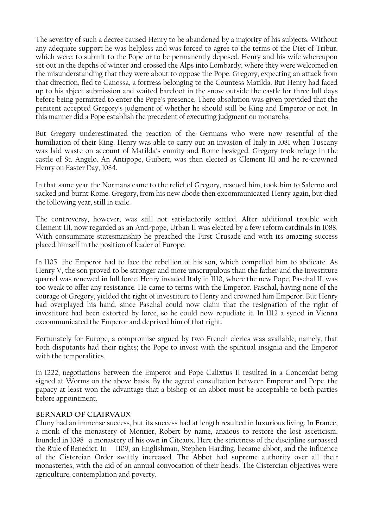The severity of such a decree caused Henry to be abandoned by a majority of his subjects. Without any adequate support he was helpless and was forced to agree to the terms of the Diet of Tribur, which were: to submit to the Pope or to be permanently deposed. Henry and his wife whereupon set out in the depths of winter and crossed the Alps into Lombardy, where they were welcomed on the misunderstanding that they were about to oppose the Pope. Gregory, expecting an attack from that direction, fled to Canossa, a fortress belonging to the Countess Matilda. But Henry had faced up to his abject submission and waited barefoot in the snow outside the castle for three full days before being permitted to enter the Pope's presence. There absolution was given provided that the penitent accepted Gregory's judgment of whether he should still be King and Emperor or not. In this manner did a Pope establish the precedent of executing judgment on monarchs.

But Gregory underestimated the reaction of the Germans who were now resentful of the humiliation of their King. Henry was able to carry out an invasion of Italy in 1081 when Tuscany was laid waste on account of Matilda's enmity and Rome besieged. Gregory took refuge in the castle of St. Angelo. An Antipope, Guibert, was then elected as Clement III and he re-crowned Henry on Easter Day, 1084.

In that same year the Normans came to the relief of Gregory, rescued him, took him to Salerno and sacked and burnt Rome. Gregory, from his new abode then excommunicated Henry again, but died the following year, still in exile.

The controversy, however, was still not satisfactorily settled. After additional trouble with Clement III, now regarded as an Anti-pope, Urban II was elected by a few reform cardinals in 1088. With consummate statesmanship he preached the First Crusade and with its amazing success placed himself in the position of leader of Europe.

In 1105 the Emperor had to face the rebellion of his son, which compelled him to abdicate. As Henry V, the son proved to be stronger and more unscrupulous than the father and the investiture quarrel was renewed in full force. Henry invaded Italy in 1110, where the new Pope, Paschal II, was too weak to offer any resistance. He came to terms with the Emperor. Paschal, having none of the courage of Gregory, yielded the right of investiture to Henry and crowned him Emperor. But Henry had overplayed his hand, since Paschal could now claim that the resignation of the right of investiture had been extorted by force, so he could now repudiate it. In 1112 a synod in Vienna excommunicated the Emperor and deprived him of that right.

Fortunately for Europe, a compromise argued by two French clerics was available, namely, that both disputants had their rights; the Pope to invest with the spiritual insignia and the Emperor with the temporalities.

In 1222, negotiations between the Emperor and Pope Calixtus II resulted in a Concordat being signed at Worms on the above basis. By the agreed consultation between Emperor and Pope, the papacy at least won the advantage that a bishop or an abbot must be acceptable to both parties before appointment.

#### **Bernard of Clairvaux**

Cluny had an immense success, but its success had at length resulted in luxurious living. In France, a monk of the monastery of Montier, Robert by name, anxious to restore the lost asceticism, founded in 1098 a monastery of his own in Citeaux. Here the strictness of the discipline surpassed the Rule of Benedict. In 1109, an Englishman, Stephen Harding, became abbot, and the influence of the Cistercian Order swiftly increased. The Abbot had supreme authority over all their monasteries, with the aid of an annual convocation of their heads. The Cistercian objectives were agriculture, contemplation and poverty.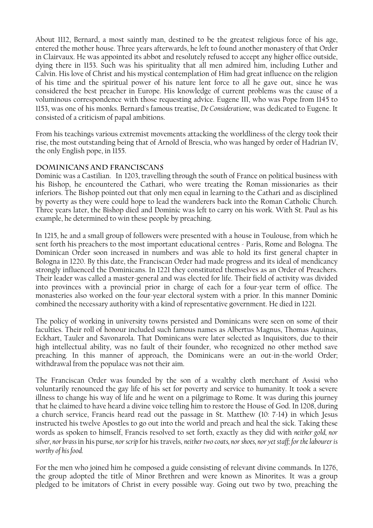About 1112, Bernard, a most saintly man, destined to be the greatest religious force of his age, entered the mother house. Three years afterwards, he left to found another monastery of that Order in Clairvaux. He was appointed its abbot and resolutely refused to accept any higher office outside, dying there in 1153. Such was his spirituality that all men admired him, including Luther and Calvin. His love of Christ and his mystical contemplation of Him had great influence on the religion of his time and the spiritual power of his nature lent force to all he gave out, since he was considered the best preacher in Europe. His knowledge of current problems was the cause of a voluminous correspondence with those requesting advice. Eugene III, who was Pope from 1145 to 1153, was one of his monks. Bernard's famous treatise, *De Consideratione*, was dedicated to Eugene. It consisted of a criticism of papal ambitions.

From his teachings various extremist movements attacking the worldliness of the clergy took their rise, the most outstanding being that of Arnold of Brescia, who was hanged by order of Hadrian IV, the only English pope, in 1155.

#### **Dominicans and Franciscans**

Dominic was a Castilian. In 1203, travelling through the south of France on political business with his Bishop, he encountered the Cathari, who were treating the Roman missionaries as their inferiors. The Bishop pointed out that only men equal in learning to the Cathari and as disciplined by poverty as they were could hope to lead the wanderers back into the Roman Catholic Church. Three years later, the Bishop died and Dominic was left to carry on his work. With St. Paul as his example, he determined to win these people by preaching.

In 1215, he and a small group of followers were presented with a house in Toulouse, from which he sent forth his preachers to the most important educational centres - Paris, Rome and Bologna. The Dominican Order soon increased in numbers and was able to hold its first general chapter in Bologna in 1220. By this date, the Franciscan Order had made progress and its ideal of mendicancy strongly influenced the Dominicans. In 1221 they constituted themselves as an Order of Preachers. Their leader was called a master-general and was elected for life. Their field of activity was divided into provinces with a provincial prior in charge of each for a four-year term of office. The monasteries also worked on the four-year electoral system with a prior. In this manner Dominic combined the necessary authority with a kind of representative government. He died in 1221.

The policy of working in university towns persisted and Dominicans were seen on some of their faculties. Their roll of honour included such famous names as Albertus Magnus, Thomas Aquinas, Eckhart, Tauler and Savonarola. That Dominicans were later selected as Inquisitors, due to their high intellectual ability, was no fault of their founder, who recognized no other method save preaching. In this manner of approach, the Dominicans were an out-in-the-world Order; withdrawal from the populace was not their aim.

The Franciscan Order was founded by the son of a wealthy cloth merchant of Assisi who voluntarily renounced the gay life of his set for poverty and service to humanity. It took a severe illness to change his way of life and he went on a pilgrimage to Rome. It was during this journey that he claimed to have heard a divine voice telling him to restore the House of God. In 1208, during a church service, Francis heard read out the passage in St. Matthew (10: 7-14) in which Jesus instructed his twelve Apostles to go out into the world and preach and heal the sick. Taking these words as spoken to himself, Francis resolved to set forth, exactly as they did with *neither gold, nor silver, nor brass* in his purse*, nor scrip* for his travels, *neither two coats, nor shoes, nor yet staff; for the labourer is worthy of his food.* 

For the men who joined him he composed a guide consisting of relevant divine commands. In 1276, the group adopted the title of Minor Brethren and were known as Minorites. It was a group pledged to be imitators of Christ in every possible way. Going out two by two, preaching the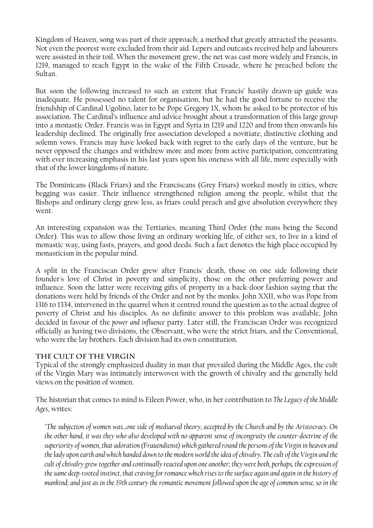Kingdom of Heaven, song was part of their approach; a method that greatly attracted the peasants. Not even the poorest were excluded from their aid. Lepers and outcasts received help and labourers were assisted in their toil. When the movement grew, the net was cast more widely and Francis, in 1219, managed to reach Egypt in the wake of the Fifth Crusade, where he preached before the Sultan.

But soon the following increased to such an extent that Francis' hastily drawn-up guide was inadequate. He possessed no talent for organisation, but he had the good fortune to receive the friendship of Cardinal Ugolino, later to be Pope Gregory IX, whom he asked to be protector of his association. The Cardinal's influence and advice brought about a transformation of this large group into a monastic Order. Francis was in Egypt and Syria in 1219 and 1220 and from then onwards his leadership declined. The originally free association developed a novitiate, distinctive clothing and solemn vows. Francis may have looked back with regret to the early days of the venture, but he never opposed the changes and withdrew more and more from active participation, concentrating with ever increasing emphasis in his last years upon his oneness with all life, more especially with that of the lower kingdoms of nature.

The Dominicans (Black Friars) and the Franciscans (Grey Friars) worked mostly in cities, where begging was easier. Their influence strengthened religion among the people, whilst that the Bishops and ordinary clergy grew less, as friars could preach and give absolution everywhere they went.

An interesting expansion was the Tertiaries, meaning Third Order (the nuns being the Second Order). This was to allow those living an ordinary working life, of either sex, to live in a kind of monastic way, using fasts, prayers, and good deeds. Such a fact denotes the high place occupied by monasticism in the popular mind.

A split in the Franciscan Order grew after Francis' death, those on one side following their founder's love of Christ in poverty and simplicity, those on the other preferring power and influence. Soon the latter were receiving gifts of property in a back-door fashion saying that the donations were held by friends of the Order and not by the monks. John XXII, who was Pope from 1316 to 1334, intervened in the quarrel when it centred round the question as to the actual degree of poverty of Christ and his disciples. As no definite answer to this problem was available, John decided in favour of the *power and influence* party. Later still, the Franciscan Order was recognized officially as having two divisions, the Observant, who were the strict friars, and the Conventional, who were the lay brothers. Each division had its own constitution.

#### **The Cult of the Virgin**

Typical of the strongly emphasized duality in man that prevailed during the Middle Ages, the cult of the Virgin Mary was intimately interwoven with the growth of chivalry and the generally held views on the position of women.

The historian that comes to mind is Eileen Power, who, in her contribution to *The Legacy of the Middle Ages*, writes:

*"The subjection of women was...one side of mediaeval theory, accepted by the Church and by the Aristocracy. On the other hand, it was they who also developed with no apparent sense of incongruity the counter-doctrine of the superiority of women, that adoration (Frauendienst) which gathered round the persons of the Virgin in heaven and the lady upon earth and which handed down to the modern world the idea of chivalry. The cult of the Virgin and the cult of chivalry grew together and continually reacted upon one another; they were both, perhaps, the expression of the same deep-rooted instinct, that craving for romance which rises to the surface again and again in the history of mankind; and just as in the 19th century the romantic movement followed upon the age of common sense, so in the*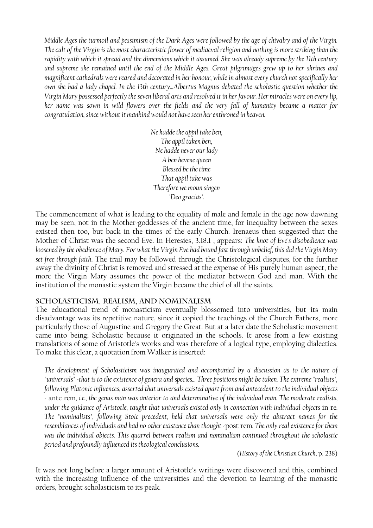*Middle Ages the turmoil and pessimism of the Dark Ages were followed by the age of chivalry and of the Virgin. The cult of the Virgin is the most characteristic flower of mediaeval religion and nothing is more striking than the rapidity with which it spread and the dimensions which it assumed. She was already supreme by the 11th century and supreme she remained until the end of the Middle Ages. Great pilgrimages grew up to her shrines and magnificent cathedrals were reared and decorated in her honour, while in almost every church not specifically her own she had a lady chapel. In the 13th century...Albertus Magnus debated the scholastic question whether the Virgin Mary possessed perfectly the seven liberal arts and resolved it in her favour. Her miracles were on every lip, her name was sown in wild flowers over the fields and the very fall of humanity became a matter for congratulation, since without it mankind would not have seen her enthroned in heaven.* 

> *Ne hadde the appil take ben, The appil taken ben, Ne hadde never our lady A ben hevene queen Blessed be the time That appil take was Therefore we moun singen 'Deo gracias'.*

The commencement of what is leading to the equality of male and female in the age now dawning may be seen, not in the Mother-goddesses of the ancient time, for inequality between the sexes existed then too, but back in the times of the early Church. Irenaeus then suggested that the Mother of Christ was the second Eve. In Heresies, 3.18.1 , appears: *The knot of Eve's disobedience was loosened by the obedience of Mary. For what the Virgin Eve had bound fast through unbelief, this did the Virgin Mary set free through faith*. The trail may be followed through the Christological disputes, for the further away the divinity of Christ is removed and stressed at the expense of His purely human aspect, the more the Virgin Mary assumes the power of the mediator between God and man. With the institution of the monastic system the Virgin became the chief of all the saints.

#### **Scholasticism, Realism, and Nominalism**

The educational trend of monasticism eventually blossomed into universities, but its main disadvantage was its repetitive nature, since it copied the teachings of the Church Fathers, more particularly those of Augustine and Gregory the Great. But at a later date the Scholastic movement came into being; Scholastic because it originated in the schools. It arose from a few existing translations of some of Aristotle's works and was therefore of a logical type, employing dialectics. To make this clear, a quotation from Walker is inserted:

*The development of Scholasticism was inaugurated and accompanied by a discussion as to the nature of "universals" -that is to the existence of genera and species... Three positions might be taken. The extreme "realists", following Platonic influences, asserted that universals existed apart from and antecedent to the individual objects -* ante rem*, i.e., the genus man was anterior to and determinative of the individual man. The moderate realists, under the guidance of Aristotle, taught that universals existed only in connection with individual objects* in re*. The "nominalists", following Stoic precedent, held that universals were only the abstract names for the resemblances of individuals and had no other existence than thought -*post rem*. The only real existence for them was the individual objects. This quarrel between realism and nominalism continued throughout the scholastic period and profoundly influenced its theological conclusions.* 

(*History of the Christian Church*, p. 238)

It was not long before a larger amount of Aristotle's writings were discovered and this, combined with the increasing influence of the universities and the devotion to learning of the monastic orders, brought scholasticism to its peak.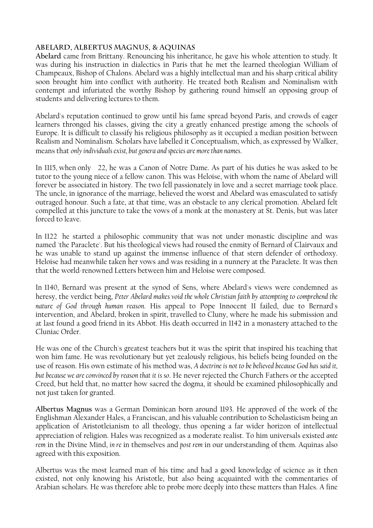#### **Abelard, Albertus Magnus, & Aquinas**

**Abelard** came from Brittany. Renouncing his inheritance, he gave his whole attention to study. It was during his instruction in dialectics in Paris that he met the learned theologian William of Champeaux, Bishop of Chalons. Abelard was a highly intellectual man and his sharp critical ability soon brought him into conflict with authority. He treated both Realism and Nominalism with contempt and infuriated the worthy Bishop by gathering round himself an opposing group of students and delivering lectures to them.

Abelard's reputation continued to grow until his fame spread beyond Paris, and crowds of eager learners thronged his classes, giving the city a greatly enhanced prestige among the schools of Europe. It is difficult to classify his religious philosophy as it occupied a median position between Realism and Nominalism. Scholars have labelled it Conceptualism, which, as expressed by Walker, means that *only individuals exist, but genera and species are more than names*.

In 1115, when only 22, he was a Canon of Notre Dame. As part of his duties he was asked to be tutor to the young niece of a fellow canon. This was Heloise, with whom the name of Abelard will forever be associated in history. The two fell passionately in love and a secret marriage took place. The uncle, in ignorance of the marriage, believed the worst and Abelard was emasculated to satisfy outraged honour. Such a fate, at that time, was an obstacle to any clerical promotion. Abelard felt compelled at this juncture to take the vows of a monk at the monastery at St. Denis, but was later forced to leave.

In 1122 he started a philosophic community that was not under monastic discipline and was named 'the Paraclete'. But his theological views had roused the enmity of Bernard of Clairvaux and he was unable to stand up against the immense influence of that stern defender of orthodoxy. Heloise had meanwhile taken her vows and was residing in a nunnery at the Paraclete. It was then that the world-renowned Letters between him and Heloise were composed.

In 1140, Bernard was present at the synod of Sens, where Abelard's views were condemned as heresy, the verdict being, *Peter Abelard makes void the whole Christian faith by attempting to comprehend the nature of God through human reason*. His appeal to Pope Innocent II failed, due to Bernard's intervention, and Abelard, broken in spirit, travelled to Cluny, where he made his submission and at last found a good friend in its Abbot. His death occurred in 1142 in a monastery attached to the Cluniac Order.

He was one of the Church's greatest teachers but it was the spirit that inspired his teaching that won him fame. He was revolutionary but yet zealously religious, his beliefs being founded on the use of reason. His own estimate of his method was, *A doctrine is not to be believed because God has said it, but because we are convinced by reason that it is so*. He never rejected the Church Fathers or the accepted Creed, but held that, no matter how sacred the dogma, it should be examined philosophically and not just taken for granted.

**Albertus Magnus** was a German Dominican born around 1193. He approved of the work of the Englishman Alexander Hales, a Franciscan, and his valuable contribution to Scholasticism being an application of Aristotleianism to all theology, thus opening a far wider horizon of intellectual appreciation of religion. Hales was recognized as a moderate realist. To him universals existed *ante rem* in the Divine Mind, *in re* in themselves and *post rem* in our understanding of them. Aquinas also agreed with this exposition.

Albertus was the most learned man of his time and had a good knowledge of science as it then existed, not only knowing his Aristotle, but also being acquainted with the commentaries of Arabian scholars. He was therefore able to probe more deeply into these matters than Hales. A fine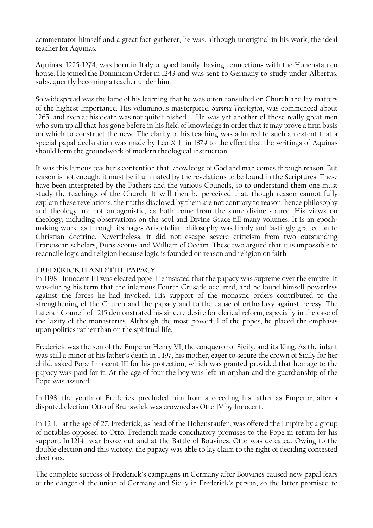commentator himself and a great fact-gatherer, he was, although unoriginal in his work, the ideal teacher for Aquinas.

**Aquinas**, 1225-1274, was born in Italy of good family, having connections with the Hohenstaufen house. He joined the Dominican Order in 1243 and was sent to Germany to study under Albertus, subsequently becoming a teacher under him.

So widespread was the fame of his learning that he was often consulted on Church and lay matters of the highest importance. His voluminous masterpiece, *Summa Theologica*, was commenced about 1265 and even at his death was not quite finished. He was yet another of those really great men who sum up all that has gone before in his field of knowledge in order that it may prove a firm basis on which to construct the new. The clarity of his teaching was admired to such an extent that a special papal declaration was made by Leo XIII in 1879 to the effect that the writings of Aquinas should form the groundwork of modern theological instruction.

It was this famous teacher's contention that knowledge of God and man comes through reason. But reason is not enough; it must be illuminated by the revelations to be found in the Scriptures. These have been interpreted by the Fathers and the various Councils, so to understand them one must study the teachings of the Church. It will then be perceived that, though reason cannot fully explain these revelations, the truths disclosed by them are not contrary to reason, hence philosophy and theology are not antagonistic, as both come from the same divine source. His views on theology, including observations on the soul and Divine Grace fill many volumes. It is an epochmaking work, as through its pages Aristotelian philosophy was firmly and lastingly grafted on to Christian doctrine. Nevertheless, it did not escape severe criticism from two outstanding Franciscan scholars, Duns Scotus and William of Occam. These two argued that it is impossible to reconcile logic and religion because logic is founded on reason and religion on faith.

#### **Frederick II and the Papacy**

In 1198 Innocent III was elected pope. He insisted that the papacy was supreme over the empire. It was-during his term that the infamous Fourth Crusade occurred, and he found himself powerless against the forces he had invoked. His support of the monastic orders contributed to the strengthening of the Church and the papacy and to the cause of orthodoxy against heresy. The Lateran Council of 1215 demonstrated his sincere desire for clerical reform, especially in the case of the laxity of the monasteries. Although the most powerful of the popes, he placed the emphasis upon politics rather than on the spiritual life.

Frederick was the son of the Emperor Henry VI, the conqueror of Sicily, and its King. As the infant was still a minor at his father's death in 1 197, his mother, eager to secure the crown of Sicily for her child, asked Pope Innocent III for his protection, which was granted provided that homage to the papacy was paid for it. At the age of four the boy was left an orphan and the guardianship of the Pope was assured.

In 1198, the youth of Frederick precluded him from succeeding his father as Emperor, after a disputed election. Otto of Brunswick was crowned as Otto IV by Innocent.

In 1211, at the age of 27, Frederick, as head of the Hohenstaufen, was offered the Empire by a group of notables opposed to Otto. Frederick made conciliatory promises to the Pope in return for his support. In 1214 war broke out and at the Battle of Bouvines, Otto was defeated. Owing to the double election and this victory, the papacy was able to lay claim to the right of deciding contested elections.

The complete success of Frederick's campaigns in Germany after Bouvines caused new papal fears of the danger of the union of Germany and Sicily in Frederick's person, so the latter promised to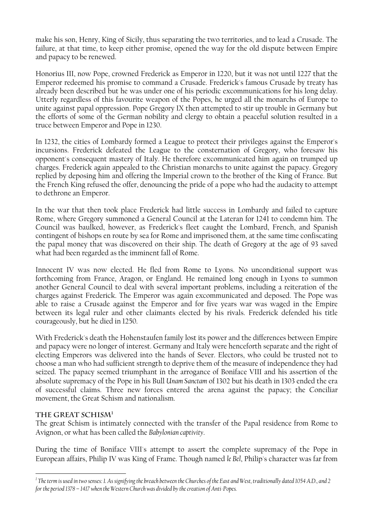make his son, Henry, King of Sicily, thus separating the two territories, and to lead a Crusade. The failure, at that time, to keep either promise, opened the way for the old dispute between Empire and papacy to be renewed.

Honorius III, now Pope, crowned Frederick as Emperor in 1220, but it was not until 1227 that the Emperor redeemed his promise to command a Crusade. Frederick's famous Crusade by treaty has already been described but he was under one of his periodic excommunications for his long delay. Utterly regardless of this favourite weapon of the Popes, he urged all the monarchs of Europe to unite against papal oppression. Pope Gregory IX then attempted to stir up trouble in Germany but the efforts of some of the German nobility and clergy to obtain a peaceful solution resulted in a truce between Emperor and Pope in 1230.

In 1232, the cities of Lombardy formed a League to protect their privileges against the Emperor's incursions. Frederick defeated the League to the consternation of Gregory, who foresaw his opponent's consequent mastery of Italy. He therefore excommunicated him again on trumped up charges. Frederick again appealed to the Christian monarchs to unite against the papacy. Gregory replied by deposing him and offering the Imperial crown to the brother of the King of France. But the French King refused the offer, denouncing the pride of a pope who had the audacity to attempt to dethrone an Emperor.

In the war that then took place Frederick had little success in Lombardy and failed to capture Rome, where Gregory summoned a General Council at the Lateran for 1241 to condemn him. The Council was baulked, however, as Frederick's fleet caught the Lombard, French, and Spanish contingent of bishops en route by sea for Rome and imprisoned them, at the same time confiscating the papal money that was discovered on their ship. The death of Gregory at the age of 93 saved what had been regarded as the imminent fall of Rome.

Innocent IV was now elected. He fled from Rome to Lyons. No unconditional support was forthcoming from France, Aragon, or England. He remained long enough in Lyons to summon another General Council to deal with several important problems, including a reiteration of the charges against Frederick. The Emperor was again excommunicated and deposed. The Pope was able to raise a Crusade against the Emperor and for five years war was waged in the Empire between its legal ruler and other claimants elected by his rivals. Frederick defended his title courageously, but he died in 1250.

With Frederick's death the Hohenstaufen family lost its power and the differences between Empire and papacy were no longer of interest. Germany and Italy were henceforth separate and the right of electing Emperors was delivered into the hands of Sever. Electors, who could be trusted not to choose a man who had sufficient strength to deprive them of the measure of independence they had seized. The papacy seemed triumphant in the arrogance of Boniface VIII and his assertion of the absolute supremacy of the Pope in his Bull *Unam Sanctam* of 1302 but his death in 1303 ended the era of successful claims. Three new forces entered the arena against the papacy; the Conciliar movement, the Great Schism and nationalism.

#### **The Great Schis[m1](#page-18-0)**

 $\overline{a}$ 

The great Schism is intimately connected with the transfer of the Papal residence from Rome to Avignon, or what has been called the *Babylonian captivity*.

During the time of Boniface VIII's attempt to assert the complete supremacy of the Pope in European affairs, Philip IV was King of Frame. Though named *le Bel*, Philip's character was far from

<span id="page-18-0"></span>*<sup>1</sup> The term is used in two senses: 1. As signifying the breach between the Churches of the East and West, traditionally dated 1054 A.D., and 2 for the period 1378 – 1417 when the Western Church was divided by the creation of Anti-Popes.*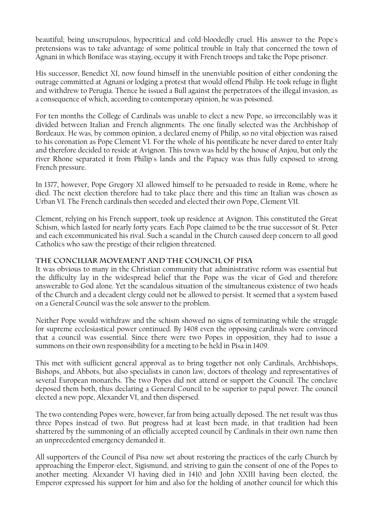beautiful; being unscrupulous, hypocritical and cold-bloodedly cruel. His answer to the Pope's pretensions was to take advantage of some political trouble in Italy that concerned the town of Agnani in which Boniface was staying, occupy it with French troops and take the Pope prisoner.

His successor, Benedict XI, now found himself in the unenviable position of either condoning the outrage committed at Agnani or lodging a protest that would offend Philip. He took refuge in flight and withdrew to Perugia. Thence he issued a Bull against the perpetrators of the illegal invasion, as a consequence of which, according to contemporary opinion, he was poisoned.

For ten months the College of Cardinals was unable to elect a new Pope, so irreconcilably was it divided between Italian and French alignments. The one finally selected was the Archbishop of Bordeaux. He was, by common opinion, a declared enemy of Philip, so no vital objection was raised to his coronation as Pope Clement VI. For the whole of his pontificate he never dared to enter Italy and therefore decided to reside at Avignon. This town was held by the house of Anjou, but only the river Rhone separated it from Philip's lands and the Papacy was thus fully exposed to strong French pressure.

In 1377, however, Pope Gregory XI allowed himself to be persuaded to reside in Rome, where he died. The next election therefore had to take place there and this time an Italian was chosen as Urban VI. The French cardinals then seceded and elected their own Pope, Clement VII.

Clement, relying on his French support, took up residence at Avignon. This constituted the Great Schism, which lasted for nearly forty years. Each Pope claimed to be the true successor of St. Peter and each excommunicated his rival. Such a scandal in the Church caused deep concern to all good Catholics who saw the prestige of their religion threatened.

#### **The Conciliar Movement and the Council of Pisa**

It was obvious to many in the Christian community that administrative reform was essential but the difficulty lay in the widespread belief that the Pope was the vicar of God and therefore answerable to God alone. Yet the scandalous situation of the simultaneous existence of two heads of the Church and a decadent clergy could not be allowed to persist. It seemed that a system based on a General Council was the sole answer to the problem.

Neither Pope would withdraw and the schism showed no signs of terminating while the struggle for supreme ecclesiastical power continued. By 1408 even the opposing cardinals were convinced that a council was essential. Since there were two Popes in opposition, they had to issue a summons on their own responsibility for a meeting to be held in Pisa in 1409.

This met with sufficient general approval as to bring together not only Cardinals, Archbishops, Bishops, and Abbots, but also specialists in canon law, doctors of theology and representatives of several European monarchs. The two Popes did not attend or support the Council. The conclave deposed them both, thus declaring a General Council to be superior to papal power. The council elected a new pope, Alexander VI, and then dispersed.

The two contending Popes were, however, far from being actually deposed. The net result was thus three Popes instead of two. But progress had at least been made, in that tradition had been shattered by the summoning of an officially accepted council by Cardinals in their own name then an unprecedented emergency demanded it.

All supporters of the Council of Pisa now set about restoring the practices of the early Church by approaching the Emperor-elect, Sigismund, and striving to gain the consent of one of the Popes to another meeting. Alexander VI having died in 1410 and John XXIII having been elected, the Emperor expressed his support for him and also for the holding of another council for which this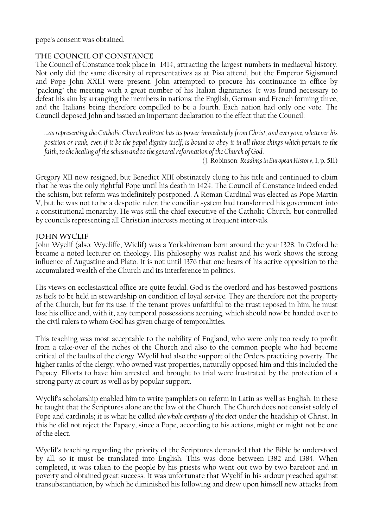pope's consent was obtained.

#### **The Council of Constance**

The Council of Constance took place in 1414, attracting the largest numbers in mediaeval history. Not only did the same diversity of representatives as at Pisa attend, but the Emperor Sigismund and Pope John XXIII were present. John attempted to procure his continuance in office by "packing" the meeting with a great number of his Italian dignitaries. It was found necessary to defeat his aim by arranging the members in nations: the English, German and French forming three, and the Italians being therefore compelled to be a fourth. Each nation had only one vote. The Council deposed John and issued an important declaration to the effect that the Council:

*…as representing the Catholic Church militant has its power immediately from Christ, and everyone, whatever his position or rank, even if it be the papal dignity itself, is bound to obey it in all those things which pertain to the faith, to the healing of the schism and to the general reformation of the Church of God*.

(J. Robinson: *Readings in European History*, I, p. 511)

Gregory XII now resigned, but Benedict XIII obstinately clung to his title and continued to claim that he was the only rightful Pope until his death in 1424. The Council of Constance indeed ended the schism, but reform was indefinitely postponed. A Roman Cardinal was elected as Pope Martin V, but he was not to be a despotic ruler; the conciliar system had transformed his government into a constitutional monarchy. He was still the chief executive of the Catholic Church, but controlled by councils representing all Christian interests meeting at frequent intervals.

#### **John Wyclif**

John Wyclif (also: Wycliffe, Wiclif) was a Yorkshireman born around the year 1328. In Oxford he became a noted lecturer on theology. His philosophy was realist and his work shows the strong influence of Augustine and Plato. It is not until 1376 that one hears of his active opposition to the accumulated wealth of the Church and its interference in politics.

His views on ecclesiastical office are quite feudal. God is the overlord and has bestowed positions as fiefs to be held in stewardship on condition of loyal service. They are therefore not the property of the Church, but for its use. if the tenant proves unfaithful to the trust reposed in him, he must lose his office and, with it, any temporal possessions accruing, which should now be handed over to the civil rulers to whom God has given charge of temporalities.

This teaching was most acceptable to the nobility of England, who were only too ready to profit from a take-over of the riches of the Church and also to the common people who had become critical of the faults of the clergy. Wyclif had also the support of the Orders practicing poverty. The higher ranks of the clergy, who owned vast properties, naturally opposed him and this included the Papacy. Efforts to have him arrested and brought to trial were frustrated by the protection of a strong party at court as well as by popular support.

Wyclif's scholarship enabled him to write pamphlets on reform in Latin as well as English. In these he taught that the Scriptures alone are the law of the Church. The Church does not consist solely of Pope and cardinals; it is what he called *the whole company of the elect* under the headship of Christ. In this he did not reject the Papacy, since a Pope, according to his actions, might or might not be one of the elect.

Wyclif's teaching regarding the priority of the Scriptures demanded that the Bible be understood by all, so it must be translated into English. This was done between 1382 and 1384. When completed, it was taken to the people by his priests who went out two by two barefoot and in poverty and obtained great success. It was unfortunate that Wyclif in his ardour preached against transubstantiation, by which he diminished his following and drew upon himself new attacks from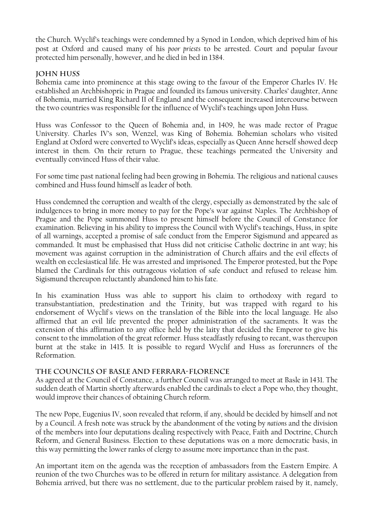the Church. Wyclif's teachings were condemned by a Synod in London, which deprived him of his post at Oxford and caused many of his *poor priests* to be arrested. Court and popular favour protected him personally, however, and he died in bed in 1384.

#### **John Huss**

Bohemia came into prominence at this stage owing to the favour of the Emperor Charles IV. He established an Archbishopric in Prague and founded its famous university. Charles' daughter, Anne of Bohemia, married King Richard II of England and the consequent increased intercourse between the two countries was responsible for the influence of Wyclif's teachings upon John Huss.

Huss was Confessor to the Queen of Bohemia and, in 1409, he was made rector of Prague University. Charles IV's son, Wenzel, was King of Bohemia. Bohemian scholars who visited England at Oxford were converted to Wyclif's ideas, especially as Queen Anne herself showed deep interest in them. On their return to Prague, these teachings permeated the University and eventually convinced Huss of their value.

For some time past national feeling had been growing in Bohemia. The religious and national causes combined and Huss found himself as leader of both.

Huss condemned the corruption and wealth of the clergy, especially as demonstrated by the sale of indulgences to bring in more money to pay for the Pope's war against Naples. The Archbishop of Prague and the Pope summoned Huss to present himself before the Council of Constance for examination. Believing in his ability to impress the Council with Wyclif's teachings, Huss, in spite of all warnings, accepted a promise of safe conduct from the Emperor Sigismund and appeared as commanded. It must be emphasised that Huss did not criticise Catholic doctrine in ant way; his movement was against corruption in the administration of Church affairs and the evil effects of wealth on ecclesiastical life. He was arrested and imprisoned. The Emperor protested, but the Pope blamed the Cardinals for this outrageous violation of safe conduct and refused to release him. Sigismund thereupon reluctantly abandoned him to his fate.

In his examination Huss was able to support his claim to orthodoxy with regard to transubstantiation, predestination and the Trinity, but was trapped with regard to his endorsement of Wyclif's views on the translation of the Bible into the local language. He also affirmed that an evil life prevented the proper administration of the sacraments. It was the extension of this affirmation to any office held by the laity that decided the Emperor to give his consent to the immolation of the great reformer. Huss steadfastly refusing to recant, was thereupon burnt at the stake in 1415. It is possible to regard Wyclif and Huss as forerunners of the Reformation.

#### **The Councils of Basle and Ferrara-Florence**

As agreed at the Council of Constance, a further Council was arranged to meet at Basle in 1431. The sudden death of Martin shortly afterwards enabled the cardinals to elect a Pope who, they thought, would improve their chances of obtaining Church reform.

The new Pope, Eugenius IV, soon revealed that reform, if any, should be decided by himself and not by a Council. A fresh note was struck by the abandonment of the voting by *nations* and the division of the members into four deputations dealing respectively with Peace, Faith and Doctrine, Church Reform, and General Business. Election to these deputations was on a more democratic basis, in this way permitting the lower ranks of clergy to assume more importance than in the past.

An important item on the agenda was the reception of ambassadors from the Eastern Empire. A reunion of the two Churches was to be offered in return for military assistance. A delegation from Bohemia arrived, but there was no settlement, due to the particular problem raised by it, namely,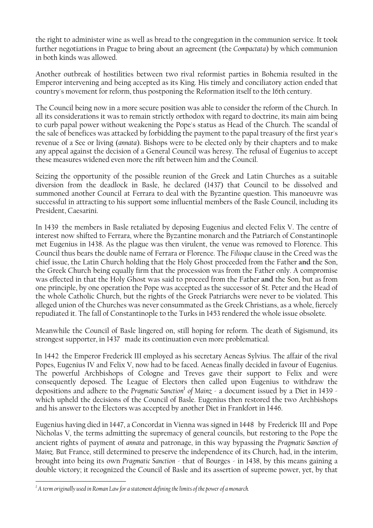the right to administer wine as well as bread to the congregation in the communion service. It took further negotiations in Prague to bring about an agreement (the *Compactata*) by which communion in both kinds was allowed.

Another outbreak of hostilities between two rival reformist parties in Bohemia resulted in the Emperor intervening and being accepted as its King. His timely and conciliatory action ended that country's movement for reform, thus postponing the Reformation itself to the 16th century.

The Council being now in a more secure position was able to consider the reform of the Church. In all its considerations it was to remain strictly orthodox with regard to doctrine, its main aim being to curb papal power without weakening the Pope's status as Head of the Church. The scandal of the sale of benefices was attacked by forbidding the payment to the papal treasury of the first year's revenue of a See or living (*annata*). Bishops were to be elected only by their chapters and to make any appeal against the decision of a General Council was heresy. The refusal of Eugenius to accept these measures widened even more the rift between him and the Council.

Seizing the opportunity of the possible reunion of the Greek and Latin Churches as a suitable diversion from the deadlock in Basle, he declared (1437) that Council to be dissolved and summoned another Council at Ferrara to deal with the Byzantine question. This manoeuvre was successful in attracting to his support some influential members of the Basle Council, including its President, Caesarini.

In 1439 the members in Basle retaliated by deposing Eugenius and elected Felix V. The centre of interest now shifted to Ferrara, where the Byzantine monarch and the Patriarch of Constantinople met Eugenius in 1438. As the plague was then virulent, the venue was removed to Florence. This Council thus bears the double name of Ferrara or Florence. The *Filioque* clause in the Creed was the chief issue, the Latin Church holding that the Holy Ghost proceeded from the Father **and** the Son, the Greek Church being equally firm that the procession was from the Father only. A compromise was effected in that the Holy Ghost was said to proceed from the Father **and** the Son, but as from one principle, by one operation the Pope was accepted as the successor of St. Peter and the Head of the whole Catholic Church, but the rights of the Greek Patriarchs were never to be violated. This alleged union of the Churches was never consummated as the Greek Christians, as a whole, fiercely repudiated it. The fall of Constantinople to the Turks in 1453 rendered the whole issue obsolete.

Meanwhile the Council of Basle lingered on, still hoping for reform. The death of Sigismund, its strongest supporter, in 1437 made its continuation even more problematical.

In 1442 the Emperor Frederick III employed as his secretary Aeneas Sylvius. The affair of the rival Popes, Eugenius IV and Felix V, now had to be faced. Aeneas finally decided in favour of Eugenius. The powerful Archbishops of Cologne and Treves gave their support to Felix and were consequently deposed. The League of Electors then called upon Eugenius to withdraw the depositions and adhere to the *Pragmatic Sanction*[1](#page-22-0) *of Mainz* - a document issued by a Diet in 1439 which upheld the decisions of the Council of Basle. Eugenius then restored the two Archbishops and his answer to the Electors was accepted by another Diet in Frankfort in 1446.

Eugenius having died in 1447, a Concordat in Vienna was signed in 1448 by Frederick III and Pope Nicholas V, the terms admitting the supremacy of general councils, but restoring to the Pope the ancient rights of payment of *annata* and patronage, in this way bypassing the *Pragmatic Sanction of Mainz*. But France, still determined to preserve the independence of its Church, had, in the interim, brought into being its own *Pragmatic Sanction* - that of Bourges - in 1438, by this means gaining a double victory; it recognized the Council of Basle and its assertion of supreme power, yet, by that

 $\overline{a}$ 

<span id="page-22-0"></span> $^{\rm 1}$  A term originally used in Roman Law for a statement defining the limits of the power of a monarch.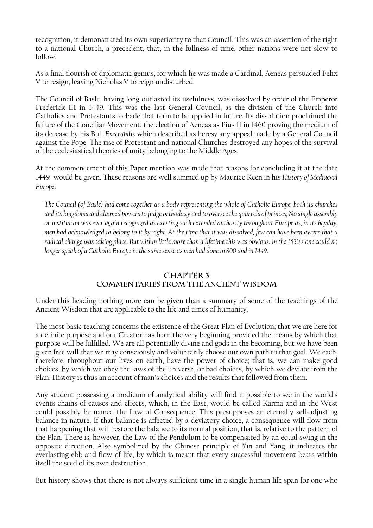recognition, it demonstrated its own superiority to that Council. This was an assertion of the right to a national Church, a precedent, that, in the fullness of time, other nations were not slow to follow.

As a final flourish of diplomatic genius, for which he was made a Cardinal, Aeneas persuaded Felix V to resign, leaving Nicholas V to reign undisturbed.

The Council of Basle, having long outlasted its usefulness, was dissolved by order of the Emperor Frederick III in 1449. This was the last General Council, as the division of the Church into Catholics and Protestants forbade that term to be applied in future. Its dissolution proclaimed the failure of the Conciliar Movement, the election of Aeneas as Pius II in 1460 proving the medium of its decease by his Bull *Execrabilis* which described as heresy any appeal made by a General Council against the Pope. The rise of Protestant and national Churches destroyed any hopes of the survival of the ecclesiastical theories of unity belonging to the Middle Ages.

At the commencement of this Paper mention was made that reasons for concluding it at the date 1449 would be given. These reasons are well summed up by Maurice Keen in his *History of Mediaeval Europe*:

*The Council (of Basle) had come together as a body representing the whole of Catholic Europe, both its churches and its kingdoms and claimed powers to judge orthodoxy and to oversee the quarrels of princes, No single assembly or institution was ever again recognized as exerting such extended authority throughout Europe as, in its heyday, men had acknowledged to belong to it by right. At the time that it was dissolved, few can have been aware that a radical change was taking place. But within little more than a lifetime this was obvious: in the 1530's one could no longer speak of a Catholic Europe in the same sense as men had done in 800 and in 1449.* 

#### **CHAPTER 3 COMMENTARIES FROM THE ANCIENT WISDOM**

Under this heading nothing more can be given than a summary of some of the teachings of the Ancient Wisdom that are applicable to the life and times of humanity.

The most basic teaching concerns the existence of the Great Plan of Evolution; that we are here for a definite purpose and our Creator has from the very beginning provided the means by which that purpose will be fulfilled. We are all potentially divine and gods in the becoming, but we have been given free will that we may consciously and voluntarily choose our own path to that goal. We each, therefore, throughout our lives on earth, have the power of choice; that is, we can make good choices, by which we obey the laws of the universe, or bad choices, by which we deviate from the Plan. History is thus an account of man's choices and the results that followed from them.

Any student possessing a modicum of analytical ability will find it possible to see in the world's events chains of causes and effects, which, in the East, would be called Karma and in the West could possibly be named the Law of Consequence. This presupposes an eternally self-adjusting balance in nature. If that balance is affected by a deviatory choice, a consequence will flow from that happening that will restore the balance to its normal position, that is, relative to the pattern of the Plan. There is, however, the Law of the Pendulum to be compensated by an equal swing in the opposite direction. Also symbolized by the Chinese principle of Yin and Yang, it indicates the everlasting ebb and flow of life, by which is meant that every successful movement bears within itself the seed of its own destruction.

But history shows that there is not always sufficient time in a single human life span for one who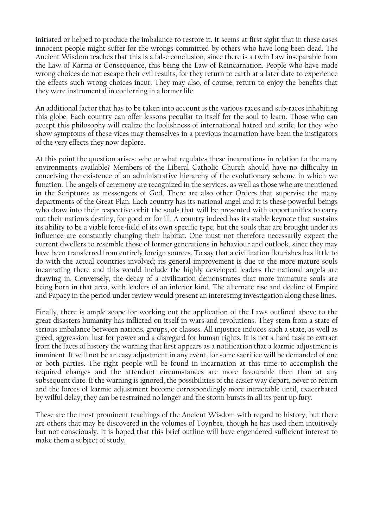initiated or helped to produce the imbalance to restore it. It seems at first sight that in these cases innocent people might suffer for the wrongs committed by others who have long been dead. The Ancient Wisdom teaches that this is a false conclusion, since there is a twin Law inseparable from the Law of Karma or Consequence, this being the Law of Reincarnation. People who have made wrong choices do not escape their evil results, for they return to earth at a later date to experience the effects such wrong choices incur. They may also, of course, return to enjoy the benefits that they were instrumental in conferring in a former life.

An additional factor that has to be taken into account is the various races and sub-races inhabiting this globe. Each country can offer lessons peculiar to itself for the soul to learn. Those who can accept this philosophy will realize the foolishness of international hatred and strife, for they who show symptoms of these vices may themselves in a previous incarnation have been the instigators of the very effects they now deplore.

At this point the question arises: who or what regulates these incarnations in relation to the many environments available? Members of the Liberal Catholic Church should have no difficulty in conceiving the existence of an administrative hierarchy of the evolutionary scheme in which we function. The angels of ceremony are recognized in the services, as well as those who are mentioned in the Scriptures as messengers of God. There are also other Orders that supervise the many departments of the Great Plan. Each country has its national angel and it is these powerful beings who draw into their respective orbit the souls that will be presented with opportunities to carry out their nation's destiny, for good or for ill. A country indeed has its stable keynote that sustains its ability to be a viable force-field of its own specific type, but the souls that are brought under its influence are constantly changing their habitat. One must not therefore necessarily expect the current dwellers to resemble those of former generations in behaviour and outlook, since they may have been transferred from entirely foreign sources. To say that a civilization flourishes has little to do with the actual countries involved; its general improvement is due to the more mature souls incarnating there and this would include the highly developed leaders the national angels are drawing in. Conversely, the decay of a civilization demonstrates that more immature souls are being born in that area, with leaders of an inferior kind. The alternate rise and decline of Empire and Papacy in the period under review would present an interesting investigation along these lines.

Finally, there is ample scope for working out the application of the Laws outlined above to the great disasters humanity has inflicted on itself in wars and revolutions. They stem from a state of serious imbalance between nations, groups, or classes. All injustice induces such a state, as well as greed, aggression, lust for power and a disregard for human rights. It is not a hard task to extract from the facts of history the warning that first appears as a notification that a karmic adjustment is imminent. It will not be an easy adjustment in any event, for some sacrifice will be demanded of one or both parties. The right people will be found in incarnation at this time to accomplish the required changes and the attendant circumstances are more favourable then than at any subsequent date. If the warning is ignored, the possibilities of the easier way depart, never to return and the forces of karmic adjustment become correspondingly more intractable until, exacerbated by wilful delay, they can be restrained no longer and the storm bursts in all its pent up fury.

These are the most prominent teachings of the Ancient Wisdom with regard to history, but there are others that may be discovered in the volumes of Toynbee, though he has used them intuitively but not consciously. It is hoped that this brief outline will have engendered sufficient interest to make them a subject of study.